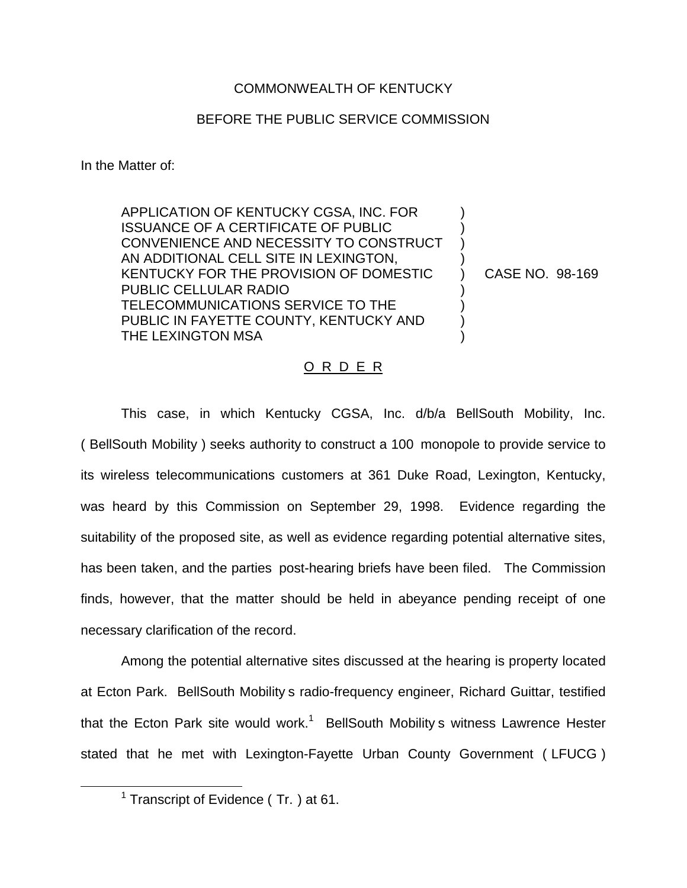## COMMONWEALTH OF KENTUCKY

## BEFORE THE PUBLIC SERVICE COMMISSION

In the Matter of:

APPLICATION OF KENTUCKY CGSA, INC. FOR ISSUANCE OF A CERTIFICATE OF PUBLIC CONVENIENCE AND NECESSITY TO CONSTRUCT AN ADDITIONAL CELL SITE IN LEXINGTON, KENTUCKY FOR THE PROVISION OF DOMESTIC PUBLIC CELLULAR RADIO TELECOMMUNICATIONS SERVICE TO THE PUBLIC IN FAYETTE COUNTY, KENTUCKY AND THE LEXINGTON MSA ) ) ) ) ) ) ) ) )

CASE NO. 98-169

## O R D E R

This case, in which Kentucky CGSA, Inc. d/b/a BellSouth Mobility, Inc. ( BellSouth Mobility ) seeks authority to construct a 100 monopole to provide service to its wireless telecommunications customers at 361 Duke Road, Lexington, Kentucky, was heard by this Commission on September 29, 1998. Evidence regarding the suitability of the proposed site, as well as evidence regarding potential alternative sites, has been taken, and the parties post-hearing briefs have been filed. The Commission finds, however, that the matter should be held in abeyance pending receipt of one necessary clarification of the record.

Among the potential alternative sites discussed at the hearing is property located at Ecton Park. BellSouth Mobility s radio-frequency engineer, Richard Guittar, testified that the Ecton Park site would work.<sup>1</sup> BellSouth Mobility s witness Lawrence Hester stated that he met with Lexington-Fayette Urban County Government ( LFUCG )

 $1$  Transcript of Evidence (Tr. ) at 61.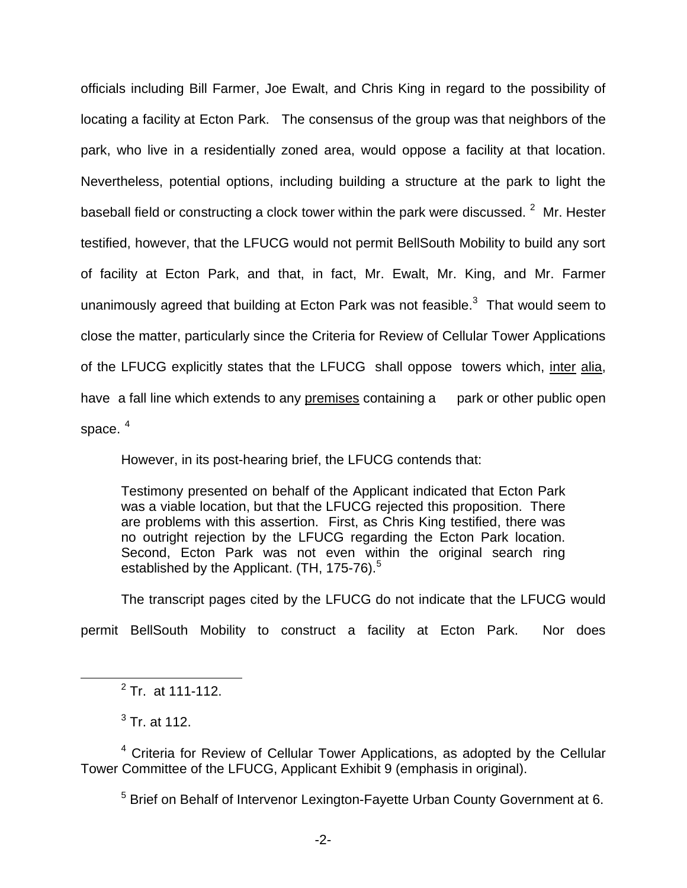officials including Bill Farmer, Joe Ewalt, and Chris King in regard to the possibility of locating a facility at Ecton Park. The consensus of the group was that neighbors of the park, who live in a residentially zoned area, would oppose a facility at that location. Nevertheless, potential options, including building a structure at the park to light the baseball field or constructing a clock tower within the park were discussed.  $2\,$  Mr. Hester testified, however, that the LFUCG would not permit BellSouth Mobility to build any sort of facility at Ecton Park, and that, in fact, Mr. Ewalt, Mr. King, and Mr. Farmer unanimously agreed that building at Ecton Park was not feasible. $3$  That would seem to close the matter, particularly since the Criteria for Review of Cellular Tower Applications of the LFUCG explicitly states that the LFUCG shall oppose towers which, inter alia, have a fall line which extends to any premises containing a park or other public open space.  $4$ 

However, in its post-hearing brief, the LFUCG contends that:

Testimony presented on behalf of the Applicant indicated that Ecton Park was a viable location, but that the LFUCG rejected this proposition. There are problems with this assertion. First, as Chris King testified, there was no outright rejection by the LFUCG regarding the Ecton Park location. Second, Ecton Park was not even within the original search ring established by the Applicant.  $(TH, 175-76)$ .<sup>5</sup>

The transcript pages cited by the LFUCG do not indicate that the LFUCG would permit BellSouth Mobility to construct a facility at Ecton Park. Nor does

 $2$  Tr. at 111-112.

 $3$  Tr. at 112.

<sup>4</sup> Criteria for Review of Cellular Tower Applications, as adopted by the Cellular Tower Committee of the LFUCG, Applicant Exhibit 9 (emphasis in original).

<sup>5</sup> Brief on Behalf of Intervenor Lexington-Fayette Urban County Government at 6.